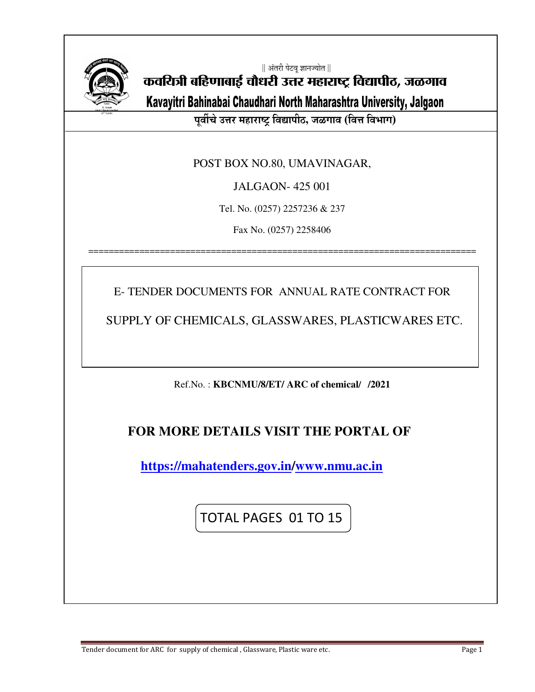

|| अंतरी पेटवू ज्ञानज्योत ||

कवयित्री बहिणाबाई चौधरी उत्तर महाराष्ट्र विद्यापीठ, जळगाव

Kavayitri Bahinabai Chaudhari North Maharashtra University, Jalgaon

पूर्वीचे उत्तर महाराष्ट्र विद्यापीठ, जळगाव (वित्त विभाग)

POST BOX NO.80, UMAVINAGAR,

JALGAON- 425 001

Tel. No. (0257) 2257236 & 237

Fax No. (0257) 2258406

============================================================================

E- TENDER DOCUMENTS FOR ANNUAL RATE CONTRACT FOR

SUPPLY OF CHEMICALS, GLASSWARES, PLASTICWARES ETC.

Ref.No. : **KBCNMU/8/ET/ ARC of chemical/ /2021**

# **FOR MORE DETAILS VISIT THE PORTAL OF**

 **https://mahatenders.gov.in/www.nmu.ac.in** 

TOTAL PAGES 01 TO 15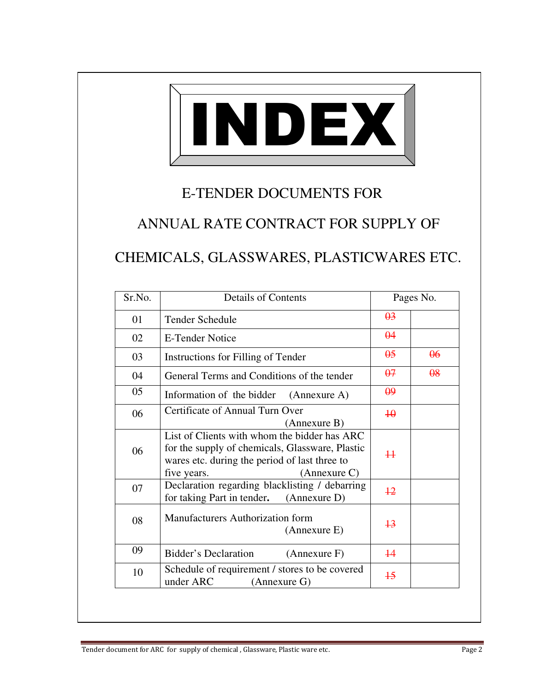

# E-TENDER DOCUMENTS FOR

ANNUAL RATE CONTRACT FOR SUPPLY OF

CHEMICALS, GLASSWARES, PLASTICWARES ETC.

| Sr.No. | <b>Details of Contents</b>                                                                                                                       |                       | Pages No.             |
|--------|--------------------------------------------------------------------------------------------------------------------------------------------------|-----------------------|-----------------------|
| 01     | Tender Schedule                                                                                                                                  | $\theta$ <sup>3</sup> |                       |
| 02     | <b>E-Tender Notice</b>                                                                                                                           | $\theta$ 4            |                       |
| 03     | Instructions for Filling of Tender                                                                                                               | $\theta$ 5            | $\theta$              |
| 04     | General Terms and Conditions of the tender                                                                                                       | $\theta$ 7            | $\theta$ <sup>8</sup> |
| 05     | Information of the bidder (Annexure A)                                                                                                           | $\theta$ <sup>9</sup> |                       |
| 06     | Certificate of Annual Turn Over<br>(Annexure B)                                                                                                  | $\overline{40}$       |                       |
| 06     | List of Clients with whom the bidder has ARC<br>for the supply of chemicals, Glassware, Plastic<br>wares etc. during the period of last three to | $\ddagger$            |                       |
|        | five years.<br>(Annexure C)                                                                                                                      |                       |                       |
| 07     | Declaration regarding blacklisting / debarring<br>for taking Part in tender. (Annexure D)                                                        | $+2$                  |                       |
| 08     | Manufacturers Authorization form<br>(Annexure E)                                                                                                 | $+3$                  |                       |
| 09     | Bidder's Declaration<br>(Annexure F)                                                                                                             | $\overline{14}$       |                       |
| 10     | Schedule of requirement / stores to be covered<br>under ARC<br>(Annexure G)                                                                      | $\overline{15}$       |                       |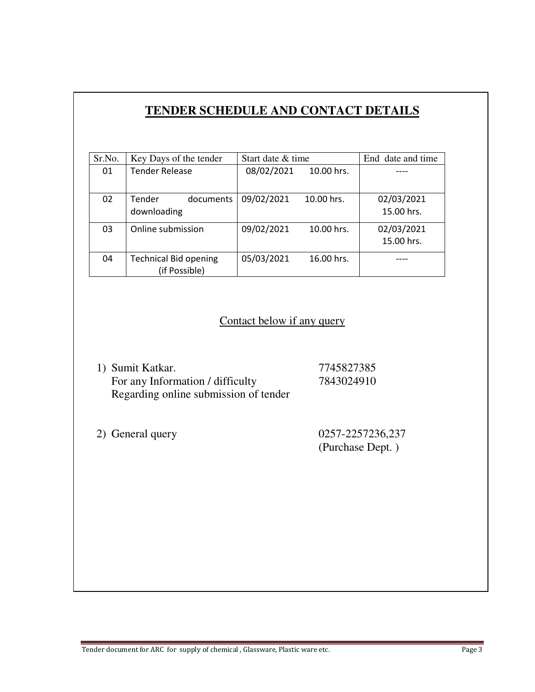# **TENDER SCHEDULE AND CONTACT DETAILS**

| Sr.No. | Key Days of the tender       | Start date & time |            | End date and time |
|--------|------------------------------|-------------------|------------|-------------------|
| 01     | <b>Tender Release</b>        | 08/02/2021        | 10.00 hrs. |                   |
|        |                              |                   |            |                   |
| 02     | <b>Tender</b><br>documents   | 09/02/2021        | 10.00 hrs. | 02/03/2021        |
|        | downloading                  |                   |            | 15.00 hrs.        |
| 03     | Online submission            | 09/02/2021        | 10.00 hrs. | 02/03/2021        |
|        |                              |                   |            | 15.00 hrs.        |
| 04     | <b>Technical Bid opening</b> | 05/03/2021        | 16.00 hrs. |                   |
|        | (if Possible)                |                   |            |                   |

## Contact below if any query

| 1) Sumit Katkar.                      | 7745827385 |
|---------------------------------------|------------|
| For any Information / difficulty      | 7843024910 |
| Regarding online submission of tender |            |

2) General query 0257-2257236,237 (Purchase Dept. )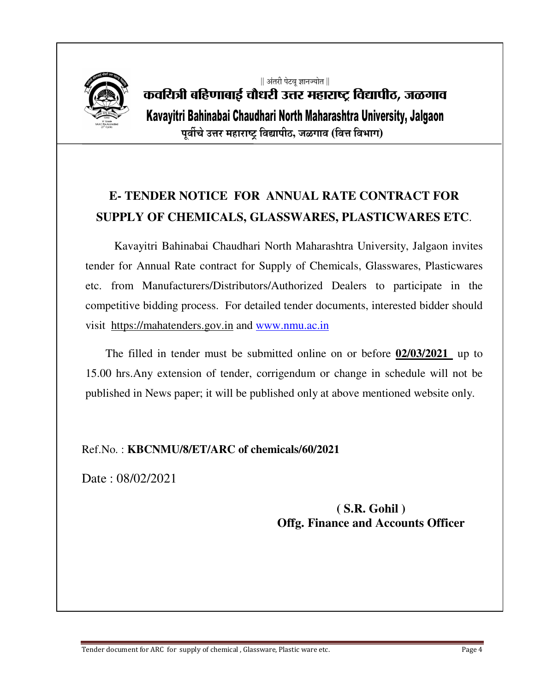

# || अंतरी पेटवृ ज्ञानज्योत || कवयित्री बहिणाबाई चौधरी उत्तर महाराष्ट्र विद्यापीठ, जळगाव Kavayitri Bahinabai Chaudhari North Maharashtra University, Jalgaon पूर्वीचे उत्तर महाराष्ट्र विद्यापीठ, जळगाव (वित्त विभाग)

# **E- TENDER NOTICE FOR ANNUAL RATE CONTRACT FOR SUPPLY OF CHEMICALS, GLASSWARES, PLASTICWARES ETC**.

 Kavayitri Bahinabai Chaudhari North Maharashtra University, Jalgaon invites tender for Annual Rate contract for Supply of Chemicals, Glasswares, Plasticwares etc. from Manufacturers/Distributors/Authorized Dealers to participate in the competitive bidding process. For detailed tender documents, interested bidder should visit https://mahatenders.gov.in and www.nmu.ac.in

 The filled in tender must be submitted online on or before **02/03/2021** up to 15.00 hrs.Any extension of tender, corrigendum or change in schedule will not be published in News paper; it will be published only at above mentioned website only.

### Ref.No. : **KBCNMU/8/ET/ARC of chemicals/60/2021**

Date : 08/02/2021

## **( S.R. Gohil ) Offg. Finance and Accounts Officer**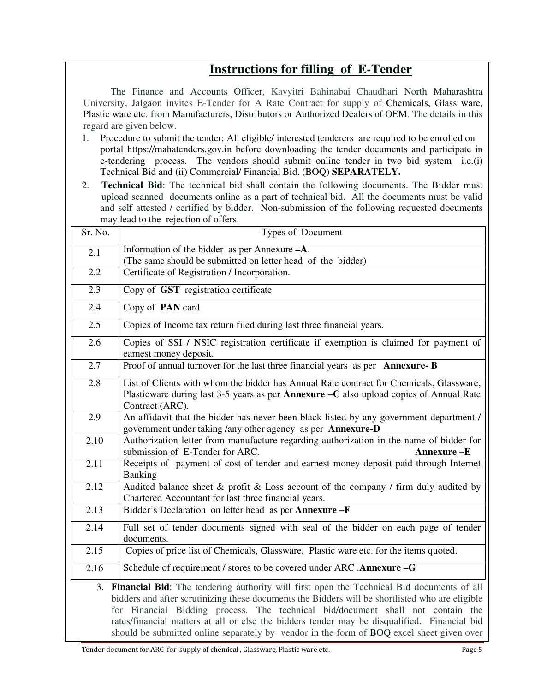# **Instructions for filling of E-Tender**

 The Finance and Accounts Officer, Kavyitri Bahinabai Chaudhari North Maharashtra University, Jalgaon invites E-Tender for A Rate Contract for supply of Chemicals, Glass ware, Plastic ware etc. from Manufacturers, Distributors or Authorized Dealers of OEM. The details in this regard are given below.

- 1. Procedure to submit the tender: All eligible/ interested tenderers are required to be enrolled on portal https://mahatenders.gov.in before downloading the tender documents and participate in e-tendering process. The vendors should submit online tender in two bid system i.e.(i) Technical Bid and (ii) Commercial/ Financial Bid. (BOQ) **SEPARATELY.**
- 2. **Technical Bid**: The technical bid shall contain the following documents. The Bidder must upload scanned documents online as a part of technical bid. All the documents must be valid and self attested / certified by bidder. Non-submission of the following requested documents may lead to the rejection of offers.

| Sr. No. | Types of Document                                                                                                                                                                                                                                                                                                                                                                                                                                                               |
|---------|---------------------------------------------------------------------------------------------------------------------------------------------------------------------------------------------------------------------------------------------------------------------------------------------------------------------------------------------------------------------------------------------------------------------------------------------------------------------------------|
| 2.1     | Information of the bidder as per Annexure -A.<br>(The same should be submitted on letter head of the bidder)                                                                                                                                                                                                                                                                                                                                                                    |
| 2.2     | Certificate of Registration / Incorporation.                                                                                                                                                                                                                                                                                                                                                                                                                                    |
| 2.3     | Copy of GST registration certificate                                                                                                                                                                                                                                                                                                                                                                                                                                            |
| 2.4     | Copy of PAN card                                                                                                                                                                                                                                                                                                                                                                                                                                                                |
| 2.5     | Copies of Income tax return filed during last three financial years.                                                                                                                                                                                                                                                                                                                                                                                                            |
| 2.6     | Copies of SSI / NSIC registration certificate if exemption is claimed for payment of<br>earnest money deposit.                                                                                                                                                                                                                                                                                                                                                                  |
| 2.7     | Proof of annual turnover for the last three financial years as per Annexure-B                                                                                                                                                                                                                                                                                                                                                                                                   |
| 2.8     | List of Clients with whom the bidder has Annual Rate contract for Chemicals, Glassware,<br>Plasticware during last 3-5 years as per <b>Annexure -C</b> also upload copies of Annual Rate<br>Contract (ARC).                                                                                                                                                                                                                                                                     |
| 2.9     | An affidavit that the bidder has never been black listed by any government department /<br>government under taking /any other agency as per Annexure-D                                                                                                                                                                                                                                                                                                                          |
| 2.10    | Authorization letter from manufacture regarding authorization in the name of bidder for<br>submission of E-Tender for ARC.<br>Annexure-E                                                                                                                                                                                                                                                                                                                                        |
| 2.11    | Receipts of payment of cost of tender and earnest money deposit paid through Internet<br>Banking                                                                                                                                                                                                                                                                                                                                                                                |
| 2.12    | Audited balance sheet & profit & Loss account of the company / firm duly audited by<br>Chartered Accountant for last three financial years.                                                                                                                                                                                                                                                                                                                                     |
| 2.13    | Bidder's Declaration on letter head as per Annexure -F                                                                                                                                                                                                                                                                                                                                                                                                                          |
| 2.14    | Full set of tender documents signed with seal of the bidder on each page of tender<br>documents.                                                                                                                                                                                                                                                                                                                                                                                |
| 2.15    | Copies of price list of Chemicals, Glassware, Plastic ware etc. for the items quoted.                                                                                                                                                                                                                                                                                                                                                                                           |
| 2.16    | Schedule of requirement / stores to be covered under ARC .Annexure -G                                                                                                                                                                                                                                                                                                                                                                                                           |
|         | 3. Financial Bid: The tendering authority will first open the Technical Bid documents of all<br>bidders and after scrutinizing these documents the Bidders will be shortlisted who are eligible<br>for Financial Bidding process. The technical bid/document shall not contain the<br>rates/financial matters at all or else the bidders tender may be disqualified. Financial bid<br>should be submitted online separately by vendor in the form of BOQ excel sheet given over |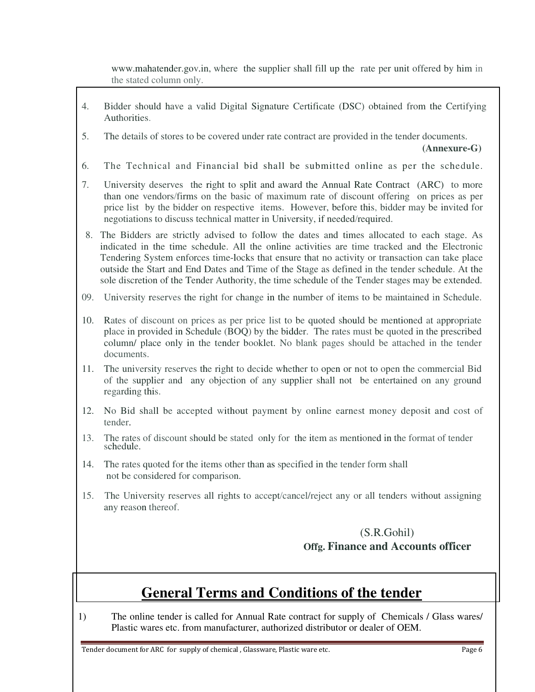www.mahatender.gov.in, where the supplier shall fill up the rate per unit offered by him in the stated column only.

- 4. Bidder should have a valid Digital Signature Certificate (DSC) obtained from the Certifying Authorities.
- 5. The details of stores to be covered under rate contract are provided in the tender documents.

 **(Annexure-G)** 

- 6. The Technical and Financial bid shall be submitted online as per the schedule.
- 7. University deserves the right to split and award the Annual Rate Contract (ARC) to more than one vendors/firms on the basic of maximum rate of discount offering on prices as per price list by the bidder on respective items. However, before this, bidder may be invited for negotiations to discuss technical matter in University, if needed/required.
- 8. The Bidders are strictly advised to follow the dates and times allocated to each stage. As indicated in the time schedule. All the online activities are time tracked and the Electronic Tendering System enforces time-locks that ensure that no activity or transaction can take place outside the Start and End Dates and Time of the Stage as defined in the tender schedule. At the sole discretion of the Tender Authority, the time schedule of the Tender stages may be extended.
- 09. University reserves the right for change in the number of items to be maintained in Schedule.
- 10. Rates of discount on prices as per price list to be quoted should be mentioned at appropriate place in provided in Schedule (BOQ) by the bidder. The rates must be quoted in the prescribed column/ place only in the tender booklet. No blank pages should be attached in the tender documents.
- 11. The university reserves the right to decide whether to open or not to open the commercial Bid of the supplier and any objection of any supplier shall not be entertained on any ground regarding this.
- 12. No Bid shall be accepted without payment by online earnest money deposit and cost of tender.
- 13. The rates of discount should be stated only for the item as mentioned in the format of tender schedule.
- 14. The rates quoted for the items other than as specified in the tender form shall not be considered for comparison.
- 15. The University reserves all rights to accept/cancel/reject any or all tenders without assigning any reason thereof.

### (S.R.Gohil) **Offg. Finance and Accounts officer**

# **General Terms and Conditions of the tender**

1) The online tender is called for Annual Rate contract for supply of Chemicals / Glass wares/ Plastic wares etc. from manufacturer, authorized distributor or dealer of OEM.

Tender document for ARC for supply of chemical , Glassware, Plastic ware etc. Page 6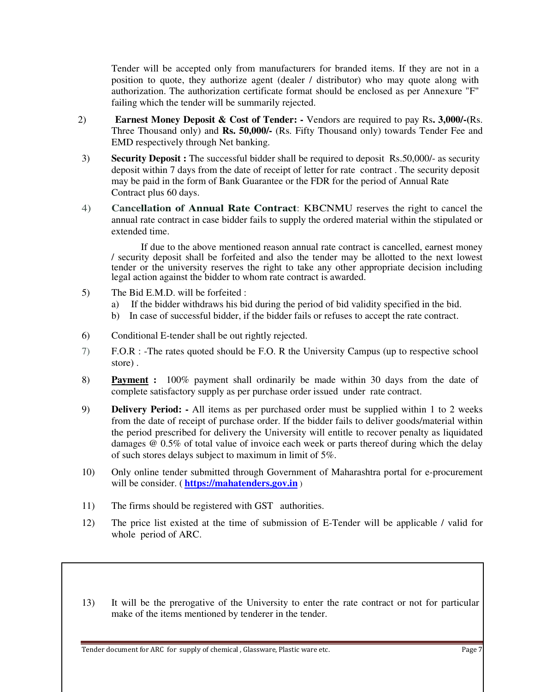Tender will be accepted only from manufacturers for branded items. If they are not in a position to quote, they authorize agent (dealer / distributor) who may quote along with authorization. The authorization certificate format should be enclosed as per Annexure "F" failing which the tender will be summarily rejected.

- 2) **Earnest Money Deposit & Cost of Tender:** Vendors are required to pay Rs**. 3,000/-(**Rs. Three Thousand only) and **Rs. 50,000/-** (Rs. Fifty Thousand only) towards Tender Fee and EMD respectively through Net banking.
- 3) **Security Deposit :** The successful bidder shall be required to deposit Rs.50,000/- as security deposit within 7 days from the date of receipt of letter for rate contract . The security deposit may be paid in the form of Bank Guarantee or the FDR for the period of Annual Rate Contract plus 60 days.
- 4) **Cancellation of Annual Rate Contract**: KBCNMU reserves the right to cancel the annual rate contract in case bidder fails to supply the ordered material within the stipulated or extended time.

If due to the above mentioned reason annual rate contract is cancelled, earnest money / security deposit shall be forfeited and also the tender may be allotted to the next lowest tender or the university reserves the right to take any other appropriate decision including legal action against the bidder to whom rate contract is awarded.

- 5) The Bid E.M.D. will be forfeited :
	- a) If the bidder withdraws his bid during the period of bid validity specified in the bid.
	- b) In case of successful bidder, if the bidder fails or refuses to accept the rate contract.
- 6) Conditional E-tender shall be out rightly rejected.
- 7) F.O.R : -The rates quoted should be F.O. R the University Campus (up to respective school store) .
- 8) **Payment :** 100% payment shall ordinarily be made within 30 days from the date of complete satisfactory supply as per purchase order issued under rate contract.
- 9) **Delivery Period: -** All items as per purchased order must be supplied within 1 to 2 weeks from the date of receipt of purchase order. If the bidder fails to deliver goods/material within the period prescribed for delivery the University will entitle to recover penalty as liquidated damages @ 0.5% of total value of invoice each week or parts thereof during which the delay of such stores delays subject to maximum in limit of 5%.
- 10) Only online tender submitted through Government of Maharashtra portal for e-procurement will be consider. ( **https://mahatenders.gov.in** )
- 11) The firms should be registered with GST authorities.
- 12) The price list existed at the time of submission of E-Tender will be applicable / valid for whole period of ARC.
- 13) It will be the prerogative of the University to enter the rate contract or not for particular make of the items mentioned by tenderer in the tender.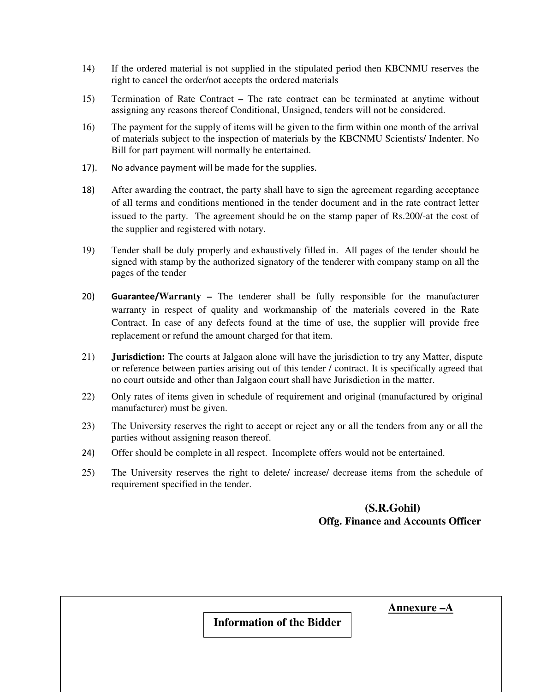- 14) If the ordered material is not supplied in the stipulated period then KBCNMU reserves the right to cancel the order/not accepts the ordered materials
- 15) Termination of Rate ContractThe rate contract can be terminated at anytime without assigning any reasons thereof Conditional, Unsigned, tenders will not be considered.
- 16) The payment for the supply of items will be given to the firm within one month of the arrival of materials subject to the inspection of materials by the KBCNMU Scientists/ Indenter. No Bill for part payment will normally be entertained.
- 17). No advance payment will be made for the supplies.
- 18) After awarding the contract, the party shall have to sign the agreement regarding acceptance of all terms and conditions mentioned in the tender document and in the rate contract letter issued to the party. The agreement should be on the stamp paper of Rs.200/-at the cost of the supplier and registered with notary.
- 19) Tender shall be duly properly and exhaustively filled in. All pages of the tender should be signed with stamp by the authorized signatory of the tenderer with company stamp on all the pages of the tender
- 20) **Guarantee/Warranty** The tenderer shall be fully responsible for the manufacturer warranty in respect of quality and workmanship of the materials covered in the Rate Contract. In case of any defects found at the time of use, the supplier will provide free replacement or refund the amount charged for that item.
- 21) **Jurisdiction:** The courts at Jalgaon alone will have the jurisdiction to try any Matter, dispute or reference between parties arising out of this tender / contract. It is specifically agreed that no court outside and other than Jalgaon court shall have Jurisdiction in the matter.
- 22) Only rates of items given in schedule of requirement and original (manufactured by original manufacturer) must be given.
- 23) The University reserves the right to accept or reject any or all the tenders from any or all the parties without assigning reason thereof.
- 24) Offer should be complete in all respect. Incomplete offers would not be entertained.
- 25) The University reserves the right to delete/ increase/ decrease items from the schedule of requirement specified in the tender.

### **(S.R.Gohil) Offg. Finance and Accounts Officer**

 **Annexure –A**

**Information of the Bidder**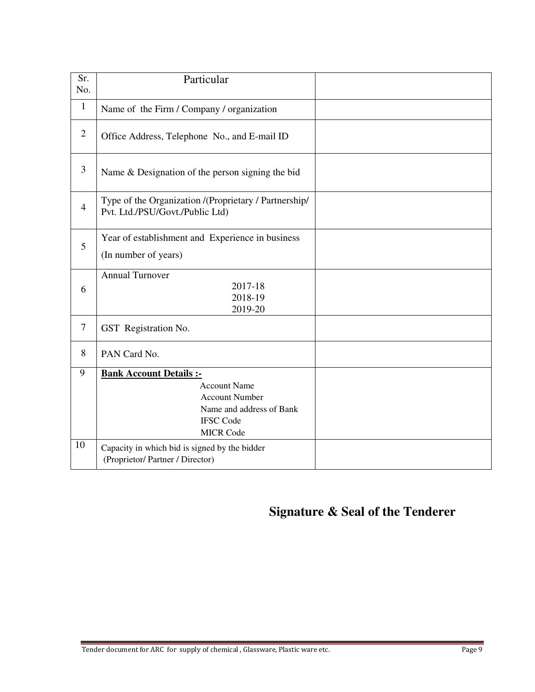| Sr.<br>No.     | Particular                                                                                                                                                                                                                             |  |
|----------------|----------------------------------------------------------------------------------------------------------------------------------------------------------------------------------------------------------------------------------------|--|
| $\mathbf{1}$   | Name of the Firm / Company / organization                                                                                                                                                                                              |  |
| $\overline{2}$ | Office Address, Telephone No., and E-mail ID                                                                                                                                                                                           |  |
| 3              | Name & Designation of the person signing the bid                                                                                                                                                                                       |  |
| $\overline{4}$ | Type of the Organization /(Proprietary / Partnership/<br>Pvt. Ltd./PSU/Govt./Public Ltd)                                                                                                                                               |  |
| 5              | Year of establishment and Experience in business<br>(In number of years)                                                                                                                                                               |  |
| 6              | <b>Annual Turnover</b><br>2017-18<br>2018-19<br>2019-20                                                                                                                                                                                |  |
| 7              | GST Registration No.                                                                                                                                                                                                                   |  |
| 8              | PAN Card No.                                                                                                                                                                                                                           |  |
| 9<br>10        | <b>Bank Account Details :-</b><br><b>Account Name</b><br><b>Account Number</b><br>Name and address of Bank<br><b>IFSC Code</b><br><b>MICR Code</b><br>Capacity in which bid is signed by the bidder<br>(Proprietor/Partner / Director) |  |

# **Signature & Seal of the Tenderer**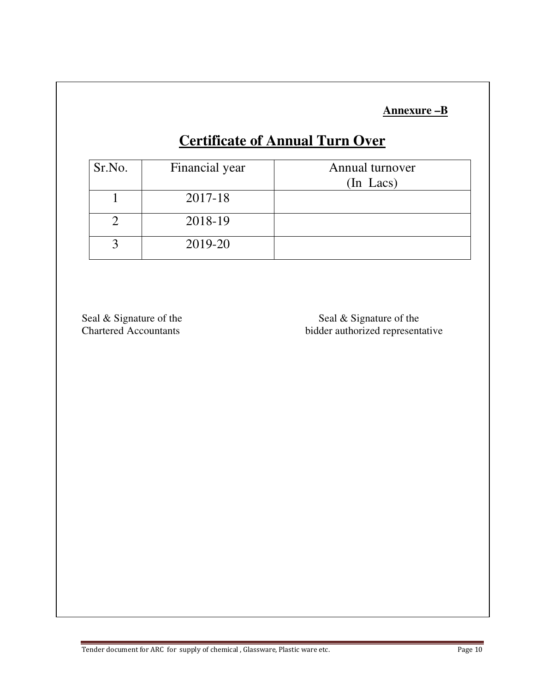**Annexure –B**

# **Certificate of Annual Turn Over**

| Sr.No. | Financial year | Annual turnover |
|--------|----------------|-----------------|
|        |                | (In Lacs)       |
|        | 2017-18        |                 |
|        | 2018-19        |                 |
|        | 2019-20        |                 |

Seal & Signature of the Seal & Signature of the Seal & Signature of the Seal & Signature of the Seal & Signature of the Seal & Signature of the Seal & Signature of the Seal & Signature of the Seal & Signature of the Seal & bidder authorized representative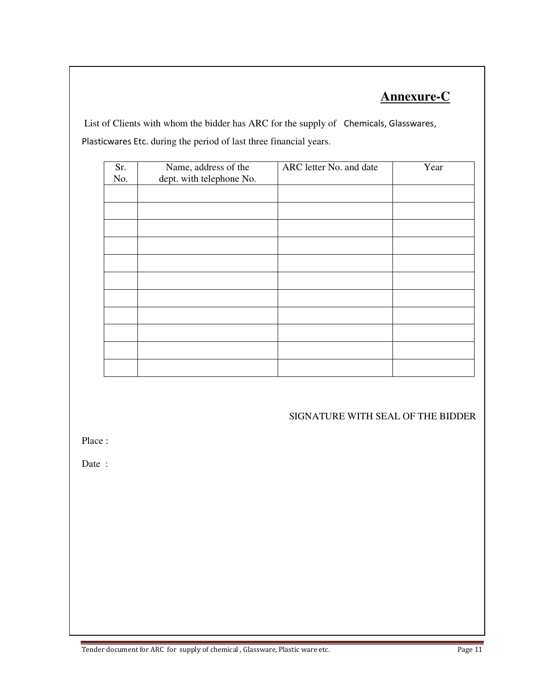# **Annexure-C**

 List of Clients with whom the bidder has ARC for the supply of Chemicals, Glasswares, Plasticwares Etc. during the period of last three financial years.

| Sr.<br>No. | Name, address of the<br>dept. with telephone No. | ARC letter No. and date | Year |
|------------|--------------------------------------------------|-------------------------|------|
|            |                                                  |                         |      |
|            |                                                  |                         |      |
|            |                                                  |                         |      |
|            |                                                  |                         |      |
|            |                                                  |                         |      |
|            |                                                  |                         |      |
|            |                                                  |                         |      |
|            |                                                  |                         |      |
|            |                                                  |                         |      |
|            |                                                  |                         |      |
|            |                                                  |                         |      |

#### SIGNATURE WITH SEAL OF THE BIDDER

Place :

Date :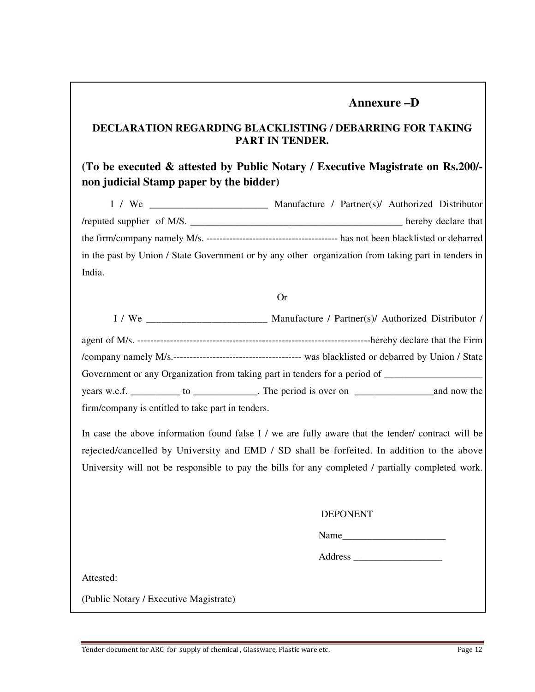### **Annexure –D**

### **DECLARATION REGARDING BLACKLISTING / DEBARRING FOR TAKING PART IN TENDER.**

### **(To be executed & attested by Public Notary / Executive Magistrate on Rs.200/ non judicial Stamp paper by the bidder)**

| I / We                                                                                              |  | Manufacture / Partner(s)/ Authorized Distributor |                     |
|-----------------------------------------------------------------------------------------------------|--|--------------------------------------------------|---------------------|
| /reputed supplier of M/S.                                                                           |  |                                                  | hereby declare that |
|                                                                                                     |  |                                                  |                     |
| in the past by Union / State Government or by any other organization from taking part in tenders in |  |                                                  |                     |
| India.                                                                                              |  |                                                  |                     |

#### Or

|                                                   | Manufacture / Partner(s)/ Authorized Distributor /                                                   |
|---------------------------------------------------|------------------------------------------------------------------------------------------------------|
|                                                   |                                                                                                      |
|                                                   |                                                                                                      |
|                                                   | Government or any Organization from taking part in tenders for a period of _________________________ |
|                                                   |                                                                                                      |
| firm/company is entitled to take part in tenders. |                                                                                                      |

In case the above information found false I / we are fully aware that the tender/ contract will be rejected/cancelled by University and EMD / SD shall be forfeited. In addition to the above University will not be responsible to pay the bills for any completed / partially completed work.

#### DEPONENT

Name\_\_\_\_\_\_\_\_\_\_\_\_\_\_\_\_\_\_\_\_\_

Address \_\_\_\_\_\_\_\_\_\_\_\_\_\_\_\_\_\_

Attested:

(Public Notary / Executive Magistrate)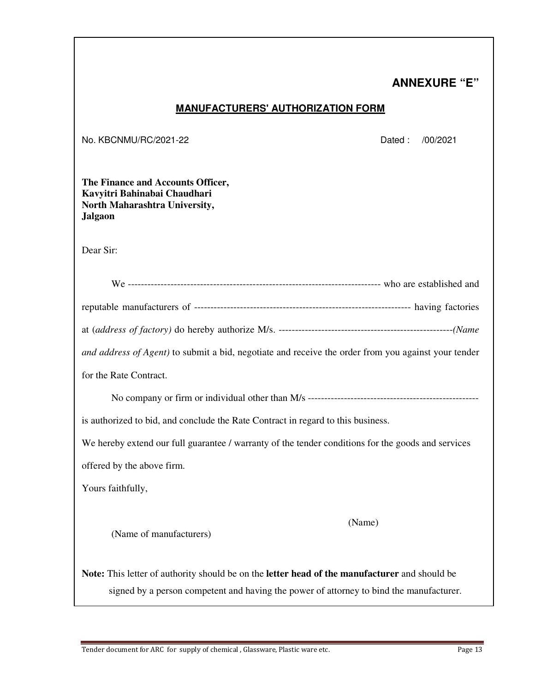# **ANNEXURE "E"**

#### **MANUFACTURERS' AUTHORIZATION FORM**

No. KBCNMU/RC/2021-22 Dated : /00/2021

**The Finance and Accounts Officer, Kavyitri Bahinabai Chaudhari North Maharashtra University, Jalgaon** 

Dear Sir:

| and address of Agent) to submit a bid, negotiate and receive the order from you against your tender |
|-----------------------------------------------------------------------------------------------------|
| for the Rate Contract.                                                                              |
|                                                                                                     |
| is authorized to bid, and conclude the Rate Contract in regard to this business.                    |
| We hereby extend our full guarantee / warranty of the tender conditions for the goods and services  |

offered by the above firm.

Yours faithfully,

(Name)

(Name of manufacturers)

**Note:** This letter of authority should be on the **letter head of the manufacturer** and should be signed by a person competent and having the power of attorney to bind the manufacturer.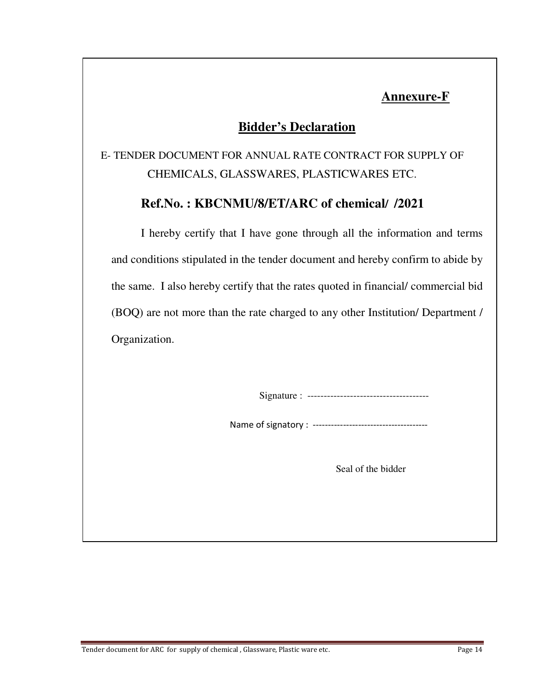# **Annexure-F**

# **Bidder's Declaration**

E- TENDER DOCUMENT FOR ANNUAL RATE CONTRACT FOR SUPPLY OF CHEMICALS, GLASSWARES, PLASTICWARES ETC.

## **Ref.No. : KBCNMU/8/ET/ARC of chemical/ /2021**

I hereby certify that I have gone through all the information and terms and conditions stipulated in the tender document and hereby confirm to abide by the same. I also hereby certify that the rates quoted in financial/ commercial bid (BOQ) are not more than the rate charged to any other Institution/ Department / Organization.

Signature : -------------------------------------

Name of signatory : --------------------------------------

Seal of the bidder